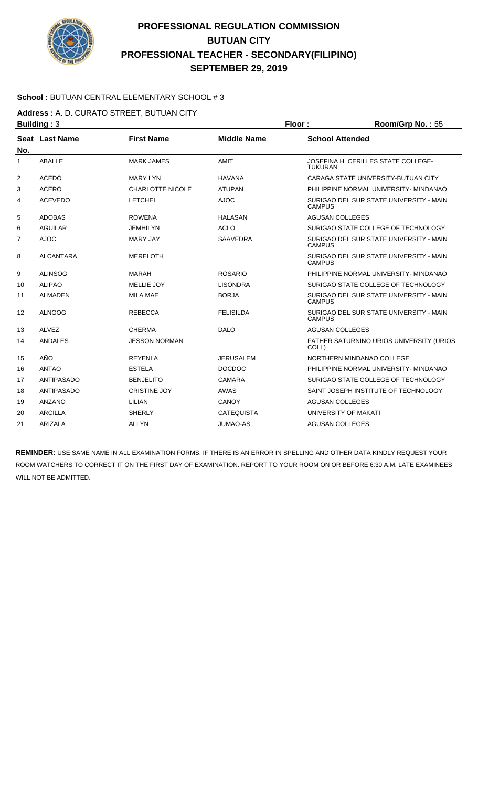

### **School :** BUTUAN CENTRAL ELEMENTARY SCHOOL # 3

**Address :** A. D. CURATO STREET, BUTUAN CITY

| <b>Building: 3</b> |                  |                         | Floor:<br>Room/Grp No.: 55 |                        |                                          |
|--------------------|------------------|-------------------------|----------------------------|------------------------|------------------------------------------|
| No.                | Seat Last Name   | <b>First Name</b>       | <b>Middle Name</b>         | <b>School Attended</b> |                                          |
| 1                  | <b>ABALLE</b>    | <b>MARK JAMES</b>       | AMIT                       | <b>TUKURAN</b>         | JOSEFINA H. CERILLES STATE COLLEGE-      |
| 2                  | <b>ACEDO</b>     | <b>MARY LYN</b>         | <b>HAVANA</b>              |                        | CARAGA STATE UNIVERSITY-BUTUAN CITY      |
| 3                  | <b>ACERO</b>     | <b>CHARLOTTE NICOLE</b> | <b>ATUPAN</b>              |                        | PHILIPPINE NORMAL UNIVERSITY- MINDANAO   |
| 4                  | <b>ACEVEDO</b>   | <b>LETCHEL</b>          | <b>AJOC</b>                | <b>CAMPUS</b>          | SURIGAO DEL SUR STATE UNIVERSITY - MAIN  |
| 5                  | <b>ADOBAS</b>    | <b>ROWENA</b>           | <b>HALASAN</b>             | <b>AGUSAN COLLEGES</b> |                                          |
| 6                  | <b>AGUILAR</b>   | JEMHILYN                | <b>ACLO</b>                |                        | SURIGAO STATE COLLEGE OF TECHNOLOGY      |
| 7                  | <b>AJOC</b>      | <b>MARY JAY</b>         | <b>SAAVEDRA</b>            | <b>CAMPUS</b>          | SURIGAO DEL SUR STATE UNIVERSITY - MAIN  |
| 8                  | <b>ALCANTARA</b> | <b>MERELOTH</b>         |                            | <b>CAMPUS</b>          | SURIGAO DEL SUR STATE UNIVERSITY - MAIN  |
| 9                  | <b>ALINSOG</b>   | <b>MARAH</b>            | <b>ROSARIO</b>             |                        | PHILIPPINE NORMAL UNIVERSITY- MINDANAO   |
| 10                 | <b>ALIPAO</b>    | MELLIE JOY              | <b>LISONDRA</b>            |                        | SURIGAO STATE COLLEGE OF TECHNOLOGY      |
| 11                 | <b>ALMADEN</b>   | <b>MILA MAE</b>         | <b>BORJA</b>               | <b>CAMPUS</b>          | SURIGAO DEL SUR STATE UNIVERSITY - MAIN  |
| 12                 | <b>ALNGOG</b>    | <b>REBECCA</b>          | <b>FELISILDA</b>           | <b>CAMPUS</b>          | SURIGAO DEL SUR STATE UNIVERSITY - MAIN  |
| 13                 | <b>ALVEZ</b>     | <b>CHERMA</b>           | <b>DALO</b>                | AGUSAN COLLEGES        |                                          |
| 14                 | ANDALES          | <b>JESSON NORMAN</b>    |                            | COLL)                  | FATHER SATURNINO URIOS UNIVERSITY (URIOS |
| 15                 | AÑO              | <b>REYENLA</b>          | <b>JERUSALEM</b>           |                        | NORTHERN MINDANAO COLLEGE                |
| 16                 | <b>ANTAO</b>     | <b>ESTELA</b>           | <b>DOCDOC</b>              |                        | PHILIPPINE NORMAL UNIVERSITY- MINDANAO   |
| 17                 | ANTIPASADO       | <b>BENJELITO</b>        | <b>CAMARA</b>              |                        | SURIGAO STATE COLLEGE OF TECHNOLOGY      |
| 18                 | ANTIPASADO       | <b>CRISTINE JOY</b>     | <b>AWAS</b>                |                        | SAINT JOSEPH INSTITUTE OF TECHNOLOGY     |
| 19                 | <b>ANZANO</b>    | LILIAN                  | <b>CANOY</b>               | <b>AGUSAN COLLEGES</b> |                                          |
| 20                 | <b>ARCILLA</b>   | <b>SHERLY</b>           | <b>CATEQUISTA</b>          | UNIVERSITY OF MAKATI   |                                          |
| 21                 | ARIZALA          | <b>ALLYN</b>            | <b>JUMAO-AS</b>            | <b>AGUSAN COLLEGES</b> |                                          |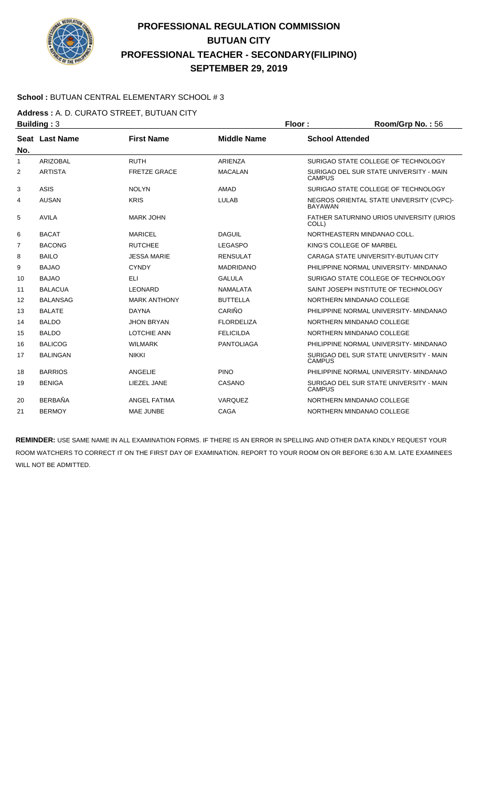

### **School :** BUTUAN CENTRAL ELEMENTARY SCHOOL # 3

**Address :** A. D. CURATO STREET, BUTUAN CITY

|                | <b>Building: 3</b> |                     |                    | Floor:                 | Room/Grp No.: 56                         |
|----------------|--------------------|---------------------|--------------------|------------------------|------------------------------------------|
|                | Seat Last Name     | <b>First Name</b>   | <b>Middle Name</b> | <b>School Attended</b> |                                          |
| No.            |                    |                     |                    |                        |                                          |
| 1              | <b>ARIZOBAL</b>    | <b>RUTH</b>         | <b>ARIENZA</b>     |                        | SURIGAO STATE COLLEGE OF TECHNOLOGY      |
| $\overline{2}$ | <b>ARTISTA</b>     | <b>FRETZE GRACE</b> | <b>MACALAN</b>     | <b>CAMPUS</b>          | SURIGAO DEL SUR STATE UNIVERSITY - MAIN  |
| 3              | <b>ASIS</b>        | <b>NOLYN</b>        | AMAD               |                        | SURIGAO STATE COLLEGE OF TECHNOLOGY      |
| 4              | <b>AUSAN</b>       | <b>KRIS</b>         | <b>LULAB</b>       | <b>BAYAWAN</b>         | NEGROS ORIENTAL STATE UNIVERSITY (CVPC)- |
| 5              | <b>AVILA</b>       | <b>MARK JOHN</b>    |                    | COLL)                  | FATHER SATURNINO URIOS UNIVERSITY (URIOS |
| 6              | <b>BACAT</b>       | <b>MARICEL</b>      | <b>DAGUIL</b>      |                        | NORTHEASTERN MINDANAO COLL.              |
| 7              | <b>BACONG</b>      | <b>RUTCHEE</b>      | <b>LEGASPO</b>     |                        | KING'S COLLEGE OF MARBEL                 |
| 8              | <b>BAILO</b>       | <b>JESSA MARIE</b>  | <b>RENSULAT</b>    |                        | CARAGA STATE UNIVERSITY-BUTUAN CITY      |
| 9              | <b>BAJAO</b>       | <b>CYNDY</b>        | <b>MADRIDANO</b>   |                        | PHILIPPINE NORMAL UNIVERSITY- MINDANAO   |
| 10             | <b>BAJAO</b>       | ELI                 | <b>GALULA</b>      |                        | SURIGAO STATE COLLEGE OF TECHNOLOGY      |
| 11             | <b>BALACUA</b>     | <b>LEONARD</b>      | <b>NAMALATA</b>    |                        | SAINT JOSEPH INSTITUTE OF TECHNOLOGY     |
| 12             | <b>BALANSAG</b>    | <b>MARK ANTHONY</b> | <b>BUTTELLA</b>    |                        | NORTHERN MINDANAO COLLEGE                |
| 13             | <b>BALATE</b>      | <b>DAYNA</b>        | CARIÑO             |                        | PHILIPPINE NORMAL UNIVERSITY- MINDANAO   |
| 14             | <b>BALDO</b>       | <b>JHON BRYAN</b>   | <b>FLORDELIZA</b>  |                        | NORTHERN MINDANAO COLLEGE                |
| 15             | <b>BALDO</b>       | <b>LOTCHIE ANN</b>  | <b>FELICILDA</b>   |                        | NORTHERN MINDANAO COLLEGE                |
| 16             | <b>BALICOG</b>     | <b>WILMARK</b>      | <b>PANTOLIAGA</b>  |                        | PHILIPPINE NORMAL UNIVERSITY- MINDANAO   |
| 17             | <b>BALINGAN</b>    | <b>NIKKI</b>        |                    | <b>CAMPUS</b>          | SURIGAO DEL SUR STATE UNIVERSITY - MAIN  |
| 18             | <b>BARRIOS</b>     | ANGELIE             | <b>PINO</b>        |                        | PHILIPPINE NORMAL UNIVERSITY- MINDANAO   |
| 19             | <b>BENIGA</b>      | LIEZEL JANE         | CASANO             | <b>CAMPUS</b>          | SURIGAO DEL SUR STATE UNIVERSITY - MAIN  |
| 20             | <b>BERBAÑA</b>     | <b>ANGEL FATIMA</b> | VARQUEZ            |                        | NORTHERN MINDANAO COLLEGE                |
| 21             | <b>BERMOY</b>      | MAE JUNBE           | CAGA               |                        | NORTHERN MINDANAO COLLEGE                |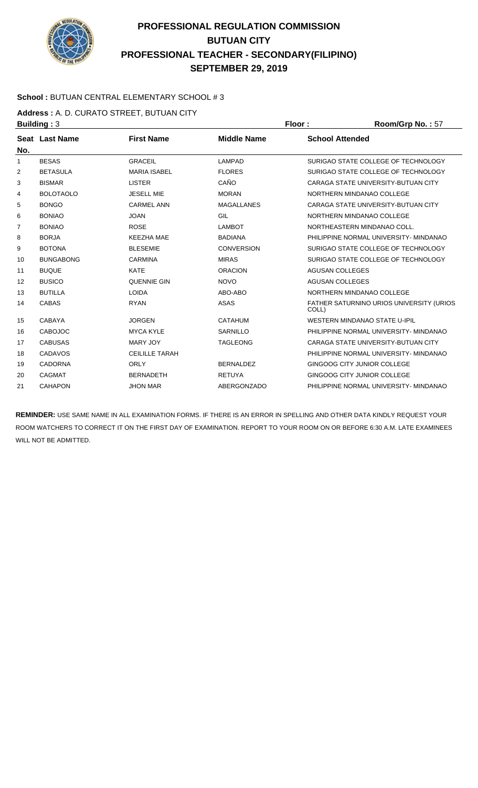

### **School :** BUTUAN CENTRAL ELEMENTARY SCHOOL # 3

**Address :** A. D. CURATO STREET, BUTUAN CITY

| <b>Building: 3</b> |                  |                       | Floor:             | Room/Grp No.: 57                                  |
|--------------------|------------------|-----------------------|--------------------|---------------------------------------------------|
| No.                | Seat Last Name   | <b>First Name</b>     | <b>Middle Name</b> | <b>School Attended</b>                            |
| $\mathbf{1}$       | <b>BESAS</b>     | <b>GRACEIL</b>        | LAMPAD             | SURIGAO STATE COLLEGE OF TECHNOLOGY               |
| 2                  | <b>BETASULA</b>  | <b>MARIA ISABEL</b>   | <b>FLORES</b>      | SURIGAO STATE COLLEGE OF TECHNOLOGY               |
| 3                  | <b>BISMAR</b>    | <b>LISTER</b>         | CAÑO               | CARAGA STATE UNIVERSITY-BUTUAN CITY               |
| 4                  | <b>BOLOTAOLO</b> | <b>JESELL MIE</b>     | <b>MORAN</b>       | NORTHERN MINDANAO COLLEGE                         |
| 5                  | <b>BONGO</b>     | <b>CARMEL ANN</b>     | <b>MAGALLANES</b>  | CARAGA STATE UNIVERSITY-BUTUAN CITY               |
| 6                  | <b>BONIAO</b>    | <b>JOAN</b>           | GIL                | NORTHERN MINDANAO COLLEGE                         |
| 7                  | <b>BONIAO</b>    | <b>ROSE</b>           | <b>LAMBOT</b>      | NORTHEASTERN MINDANAO COLL.                       |
| 8                  | <b>BORJA</b>     | <b>KEEZHA MAE</b>     | <b>BADIANA</b>     | PHILIPPINE NORMAL UNIVERSITY- MINDANAO            |
| 9                  | <b>BOTONA</b>    | <b>BLESEMIE</b>       | <b>CONVERSION</b>  | SURIGAO STATE COLLEGE OF TECHNOLOGY               |
| 10                 | <b>BUNGABONG</b> | <b>CARMINA</b>        | <b>MIRAS</b>       | SURIGAO STATE COLLEGE OF TECHNOLOGY               |
| 11                 | <b>BUQUE</b>     | <b>KATE</b>           | <b>ORACION</b>     | <b>AGUSAN COLLEGES</b>                            |
| 12                 | <b>BUSICO</b>    | <b>QUENNIE GIN</b>    | <b>NOVO</b>        | <b>AGUSAN COLLEGES</b>                            |
| 13                 | <b>BUTILLA</b>   | <b>LOIDA</b>          | ABO-ABO            | NORTHERN MINDANAO COLLEGE                         |
| 14                 | <b>CABAS</b>     | <b>RYAN</b>           | <b>ASAS</b>        | FATHER SATURNINO URIOS UNIVERSITY (URIOS<br>COLL) |
| 15                 | CABAYA           | <b>JORGEN</b>         | <b>CATAHUM</b>     | WESTERN MINDANAO STATE U-IPIL                     |
| 16                 | <b>CABOJOC</b>   | <b>MYCA KYLE</b>      | SARNILLO           | PHILIPPINE NORMAL UNIVERSITY- MINDANAO            |
| 17                 | <b>CABUSAS</b>   | <b>MARY JOY</b>       | <b>TAGLEONG</b>    | CARAGA STATE UNIVERSITY-BUTUAN CITY               |
| 18                 | <b>CADAVOS</b>   | <b>CEILILLE TARAH</b> |                    | PHILIPPINE NORMAL UNIVERSITY- MINDANAO            |
| 19                 | <b>CADORNA</b>   | <b>ORLY</b>           | <b>BERNALDEZ</b>   | GINGOOG CITY JUNIOR COLLEGE                       |
| 20                 | <b>CAGMAT</b>    | <b>BERNADETH</b>      | <b>RETUYA</b>      | GINGOOG CITY JUNIOR COLLEGE                       |
| 21                 | <b>CAHAPON</b>   | <b>JHON MAR</b>       | ABERGONZADO        | PHILIPPINE NORMAL UNIVERSITY- MINDANAO            |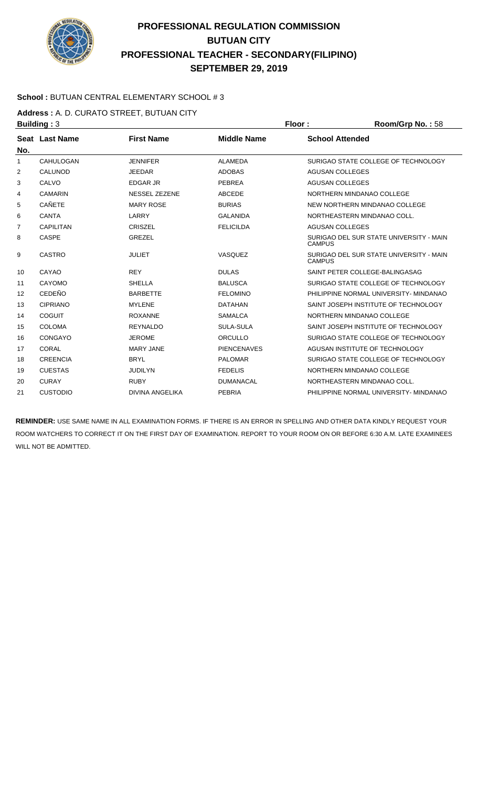

### **School :** BUTUAN CENTRAL ELEMENTARY SCHOOL # 3

### **Address :** A. D. CURATO STREET, BUTUAN CITY

| <b>Building: 3</b> |                  |                        |                    | Floor:                                                   | Room/Grp No.: 58 |
|--------------------|------------------|------------------------|--------------------|----------------------------------------------------------|------------------|
| No.                | Seat Last Name   | <b>First Name</b>      | <b>Middle Name</b> | <b>School Attended</b>                                   |                  |
| 1                  | CAHULOGAN        | <b>JENNIFER</b>        | ALAMEDA            | SURIGAO STATE COLLEGE OF TECHNOLOGY                      |                  |
| 2                  | CALUNOD          | <b>JEEDAR</b>          | <b>ADOBAS</b>      | <b>AGUSAN COLLEGES</b>                                   |                  |
| 3                  | CALVO            | <b>EDGAR JR</b>        | <b>PEBREA</b>      | <b>AGUSAN COLLEGES</b>                                   |                  |
| 4                  | <b>CAMARIN</b>   | <b>NESSEL ZEZENE</b>   | <b>ABCEDE</b>      | NORTHERN MINDANAO COLLEGE                                |                  |
| 5                  | <b>CAÑETE</b>    | <b>MARY ROSE</b>       | <b>BURIAS</b>      | NEW NORTHERN MINDANAO COLLEGE                            |                  |
| 6                  | <b>CANTA</b>     | LARRY                  | <b>GALANIDA</b>    | NORTHEASTERN MINDANAO COLL.                              |                  |
| 7                  | <b>CAPILITAN</b> | <b>CRISZEL</b>         | <b>FELICILDA</b>   | <b>AGUSAN COLLEGES</b>                                   |                  |
| 8                  | <b>CASPE</b>     | <b>GREZEL</b>          |                    | SURIGAO DEL SUR STATE UNIVERSITY - MAIN<br><b>CAMPUS</b> |                  |
| 9                  | <b>CASTRO</b>    | <b>JULIET</b>          | VASQUEZ            | SURIGAO DEL SUR STATE UNIVERSITY - MAIN<br><b>CAMPUS</b> |                  |
| 10                 | CAYAO            | <b>REY</b>             | <b>DULAS</b>       | SAINT PETER COLLEGE-BALINGASAG                           |                  |
| 11                 | CAYOMO           | <b>SHELLA</b>          | <b>BALUSCA</b>     | SURIGAO STATE COLLEGE OF TECHNOLOGY                      |                  |
| 12                 | <b>CEDEÑO</b>    | <b>BARBETTE</b>        | <b>FELOMINO</b>    | PHILIPPINE NORMAL UNIVERSITY- MINDANAO                   |                  |
| 13                 | <b>CIPRIANO</b>  | <b>MYLENE</b>          | <b>DATAHAN</b>     | SAINT JOSEPH INSTITUTE OF TECHNOLOGY                     |                  |
| 14                 | COGUIT           | <b>ROXANNE</b>         | <b>SAMALCA</b>     | NORTHERN MINDANAO COLLEGE                                |                  |
| 15                 | <b>COLOMA</b>    | <b>REYNALDO</b>        | <b>SULA-SULA</b>   | SAINT JOSEPH INSTITUTE OF TECHNOLOGY                     |                  |
| 16                 | CONGAYO          | <b>JEROME</b>          | ORCULLO            | SURIGAO STATE COLLEGE OF TECHNOLOGY                      |                  |
| 17                 | CORAL            | <b>MARY JANE</b>       | <b>PIENCENAVES</b> | AGUSAN INSTITUTE OF TECHNOLOGY                           |                  |
| 18                 | <b>CREENCIA</b>  | <b>BRYL</b>            | <b>PALOMAR</b>     | SURIGAO STATE COLLEGE OF TECHNOLOGY                      |                  |
| 19                 | <b>CUESTAS</b>   | <b>JUDILYN</b>         | <b>FEDELIS</b>     | NORTHERN MINDANAO COLLEGE                                |                  |
| 20                 | <b>CURAY</b>     | <b>RUBY</b>            | <b>DUMANACAL</b>   | NORTHEASTERN MINDANAO COLL.                              |                  |
| 21                 | <b>CUSTODIO</b>  | <b>DIVINA ANGELIKA</b> | <b>PEBRIA</b>      | PHILIPPINE NORMAL UNIVERSITY- MINDANAO                   |                  |
|                    |                  |                        |                    |                                                          |                  |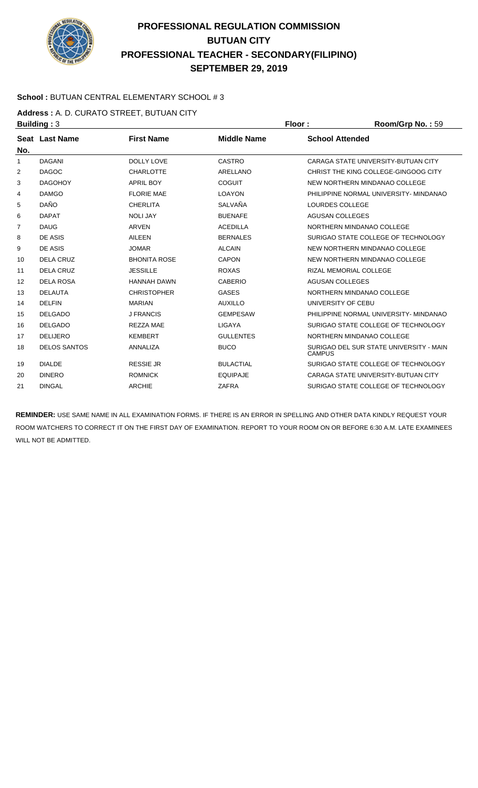

### **School :** BUTUAN CENTRAL ELEMENTARY SCHOOL # 3

**Address :** A. D. CURATO STREET, BUTUAN CITY

| <b>Building: 3</b> |                     |                     | Floor:             | Room/Grp No.: 59       |                                         |
|--------------------|---------------------|---------------------|--------------------|------------------------|-----------------------------------------|
|                    | Seat Last Name      | <b>First Name</b>   | <b>Middle Name</b> | <b>School Attended</b> |                                         |
| No.                |                     |                     |                    |                        |                                         |
| 1                  | <b>DAGANI</b>       | <b>DOLLY LOVE</b>   | CASTRO             |                        | CARAGA STATE UNIVERSITY-BUTUAN CITY     |
| 2                  | <b>DAGOC</b>        | <b>CHARLOTTE</b>    | <b>ARELLANO</b>    |                        | CHRIST THE KING COLLEGE-GINGOOG CITY    |
| 3                  | <b>DAGOHOY</b>      | <b>APRIL BOY</b>    | <b>COGUIT</b>      |                        | NEW NORTHERN MINDANAO COLLEGE           |
| 4                  | <b>DAMGO</b>        | <b>FLORIE MAE</b>   | <b>LOAYON</b>      |                        | PHILIPPINE NORMAL UNIVERSITY- MINDANAO  |
| 5                  | <b>DAÑO</b>         | <b>CHERLITA</b>     | SALVAÑA            | LOURDES COLLEGE        |                                         |
| 6                  | <b>DAPAT</b>        | <b>NOLI JAY</b>     | <b>BUENAFE</b>     | <b>AGUSAN COLLEGES</b> |                                         |
| $\overline{7}$     | <b>DAUG</b>         | ARVEN               | <b>ACEDILLA</b>    |                        | NORTHERN MINDANAO COLLEGE               |
| 8                  | DE ASIS             | <b>AILEEN</b>       | <b>BERNALES</b>    |                        | SURIGAO STATE COLLEGE OF TECHNOLOGY     |
| 9                  | DE ASIS             | <b>JOMAR</b>        | <b>ALCAIN</b>      |                        | NEW NORTHERN MINDANAO COLLEGE           |
| 10                 | <b>DELA CRUZ</b>    | <b>BHONITA ROSE</b> | <b>CAPON</b>       |                        | NEW NORTHERN MINDANAO COLLEGE           |
| 11                 | <b>DELA CRUZ</b>    | <b>JESSILLE</b>     | <b>ROXAS</b>       |                        | RIZAL MEMORIAL COLLEGE                  |
| 12                 | <b>DELA ROSA</b>    | <b>HANNAH DAWN</b>  | <b>CABERIO</b>     | <b>AGUSAN COLLEGES</b> |                                         |
| 13                 | <b>DELAUTA</b>      | <b>CHRISTOPHER</b>  | <b>GASES</b>       |                        | NORTHERN MINDANAO COLLEGE               |
| 14                 | <b>DELFIN</b>       | <b>MARIAN</b>       | <b>AUXILLO</b>     | UNIVERSITY OF CEBU     |                                         |
| 15                 | <b>DELGADO</b>      | <b>J FRANCIS</b>    | <b>GEMPESAW</b>    |                        | PHILIPPINE NORMAL UNIVERSITY- MINDANAO  |
| 16                 | <b>DELGADO</b>      | <b>REZZA MAE</b>    | <b>LIGAYA</b>      |                        | SURIGAO STATE COLLEGE OF TECHNOLOGY     |
| 17                 | <b>DELIJERO</b>     | <b>KEMBERT</b>      | <b>GULLENTES</b>   |                        | NORTHERN MINDANAO COLLEGE               |
| 18                 | <b>DELOS SANTOS</b> | <b>ANNALIZA</b>     | <b>BUCO</b>        | <b>CAMPUS</b>          | SURIGAO DEL SUR STATE UNIVERSITY - MAIN |
| 19                 | <b>DIALDE</b>       | <b>RESSIE JR</b>    | <b>BULACTIAL</b>   |                        | SURIGAO STATE COLLEGE OF TECHNOLOGY     |
| 20                 | <b>DINERO</b>       | <b>ROMNICK</b>      | <b>EQUIPAJE</b>    |                        | CARAGA STATE UNIVERSITY-BUTUAN CITY     |
| 21                 | <b>DINGAL</b>       | <b>ARCHIE</b>       | <b>ZAFRA</b>       |                        | SURIGAO STATE COLLEGE OF TECHNOLOGY     |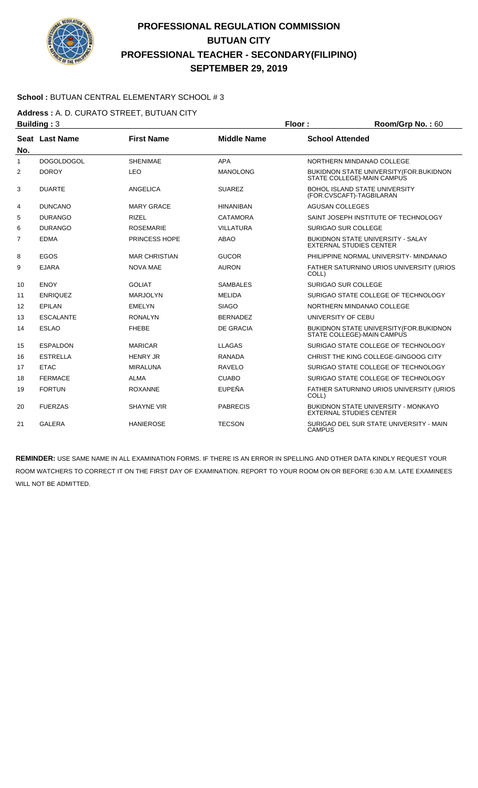

### **School :** BUTUAN CENTRAL ELEMENTARY SCHOOL # 3

**Address :** A. D. CURATO STREET, BUTUAN CITY

|                | <b>Building: 3</b> |                      |                    | Floor:                                                           | Room/Grp No.: 60                               |
|----------------|--------------------|----------------------|--------------------|------------------------------------------------------------------|------------------------------------------------|
| No.            | Seat Last Name     | <b>First Name</b>    | <b>Middle Name</b> | <b>School Attended</b>                                           |                                                |
| $\mathbf{1}$   | <b>DOGOLDOGOL</b>  | <b>SHENIMAE</b>      | <b>APA</b>         | NORTHERN MINDANAO COLLEGE                                        |                                                |
| 2              | <b>DOROY</b>       | <b>LEO</b>           | <b>MANOLONG</b>    | STATE COLLEGE)-MAIN CAMPUS                                       | BUKIDNON STATE UNIVERSITY(FOR.BUKIDNON         |
| 3              | <b>DUARTE</b>      | <b>ANGELICA</b>      | <b>SUAREZ</b>      | <b>BOHOL ISLAND STATE UNIVERSITY</b><br>(FOR.CVSCAFT)-TAGBILARAN |                                                |
| 4              | <b>DUNCANO</b>     | <b>MARY GRACE</b>    | <b>HINANIBAN</b>   | <b>AGUSAN COLLEGES</b>                                           |                                                |
| 5              | <b>DURANGO</b>     | <b>RIZEL</b>         | <b>CATAMORA</b>    |                                                                  | SAINT JOSEPH INSTITUTE OF TECHNOLOGY           |
| 6              | <b>DURANGO</b>     | <b>ROSEMARIE</b>     | <b>VILLATURA</b>   | SURIGAO SUR COLLEGE                                              |                                                |
| $\overline{7}$ | <b>EDMA</b>        | <b>PRINCESS HOPE</b> | <b>ABAO</b>        | <b>EXTERNAL STUDIES CENTER</b>                                   | <b>BUKIDNON STATE UNIVERSITY - SALAY</b>       |
| 8              | EGOS               | <b>MAR CHRISTIAN</b> | <b>GUCOR</b>       |                                                                  | PHILIPPINE NORMAL UNIVERSITY- MINDANAO         |
| 9              | <b>EJARA</b>       | <b>NOVA MAE</b>      | <b>AURON</b>       | COLL)                                                            | FATHER SATURNINO URIOS UNIVERSITY (URIOS       |
| 10             | <b>ENOY</b>        | <b>GOLIAT</b>        | <b>SAMBALES</b>    | <b>SURIGAO SUR COLLEGE</b>                                       |                                                |
| 11             | <b>ENRIQUEZ</b>    | <b>MARJOLYN</b>      | <b>MELIDA</b>      |                                                                  | SURIGAO STATE COLLEGE OF TECHNOLOGY            |
| 12             | EPILAN             | <b>EMELYN</b>        | <b>SIAGO</b>       | NORTHERN MINDANAO COLLEGE                                        |                                                |
| 13             | <b>ESCALANTE</b>   | <b>RONALYN</b>       | <b>BERNADEZ</b>    | UNIVERSITY OF CEBU                                               |                                                |
| 14             | <b>ESLAO</b>       | <b>FHEBE</b>         | <b>DE GRACIA</b>   | STATE COLLEGE)-MAIN CAMPUS                                       | <b>BUKIDNON STATE UNIVERSITY (FOR.BUKIDNON</b> |
| 15             | <b>ESPALDON</b>    | <b>MARICAR</b>       | <b>LLAGAS</b>      |                                                                  | SURIGAO STATE COLLEGE OF TECHNOLOGY            |
| 16             | <b>ESTRELLA</b>    | <b>HENRY JR</b>      | <b>RANADA</b>      |                                                                  | CHRIST THE KING COLLEGE-GINGOOG CITY           |
| 17             | <b>ETAC</b>        | <b>MIRALUNA</b>      | <b>RAVELO</b>      |                                                                  | SURIGAO STATE COLLEGE OF TECHNOLOGY            |
| 18             | <b>FERMACE</b>     | <b>ALMA</b>          | <b>CUABO</b>       |                                                                  | SURIGAO STATE COLLEGE OF TECHNOLOGY            |
| 19             | <b>FORTUN</b>      | <b>ROXANNE</b>       | <b>EUPEÑA</b>      | COLL)                                                            | FATHER SATURNINO URIOS UNIVERSITY (URIOS       |
| 20             | <b>FUERZAS</b>     | <b>SHAYNE VIR</b>    | <b>PABRECIS</b>    | <b>EXTERNAL STUDIES CENTER</b>                                   | <b>BUKIDNON STATE UNIVERSITY - MONKAYO</b>     |
| 21             | <b>GALERA</b>      | <b>HANIEROSE</b>     | <b>TECSON</b>      | <b>CAMPUS</b>                                                    | SURIGAO DEL SUR STATE UNIVERSITY - MAIN        |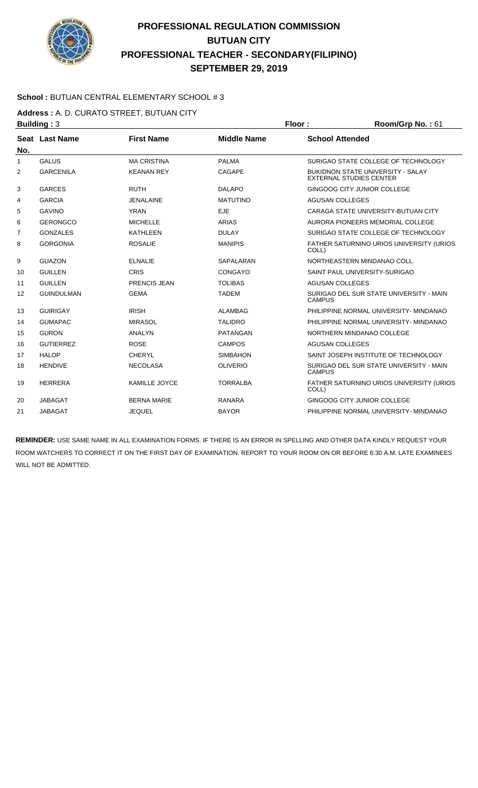

### **School :** BUTUAN CENTRAL ELEMENTARY SCHOOL # 3

**Address :** A. D. CURATO STREET, BUTUAN CITY

| <b>Building: 3</b> |                   |                      | Floor:             | Room/Grp No.: 61       |                                                                            |
|--------------------|-------------------|----------------------|--------------------|------------------------|----------------------------------------------------------------------------|
|                    | Seat Last Name    | <b>First Name</b>    | <b>Middle Name</b> | <b>School Attended</b> |                                                                            |
| No.                |                   |                      |                    |                        |                                                                            |
| 1                  | <b>GALUS</b>      | <b>MA CRISTINA</b>   | <b>PALMA</b>       |                        | SURIGAO STATE COLLEGE OF TECHNOLOGY                                        |
| $\overline{2}$     | <b>GARCENILA</b>  | <b>KEANAN REY</b>    | CAGAPE             |                        | <b>BUKIDNON STATE UNIVERSITY - SALAY</b><br><b>EXTERNAL STUDIES CENTER</b> |
| 3                  | <b>GARCES</b>     | <b>RUTH</b>          | <b>DALAPO</b>      |                        | GINGOOG CITY JUNIOR COLLEGE                                                |
| 4                  | <b>GARCIA</b>     | <b>JENALAINE</b>     | <b>MATUTINO</b>    | <b>AGUSAN COLLEGES</b> |                                                                            |
| 5                  | <b>GAVINO</b>     | <b>YRAN</b>          | <b>EJE</b>         |                        | CARAGA STATE UNIVERSITY-BUTUAN CITY                                        |
| 6                  | <b>GERONGCO</b>   | <b>MICHELLE</b>      | <b>ARIAS</b>       |                        | AURORA PIONEERS MEMORIAL COLLEGE                                           |
| 7                  | <b>GONZALES</b>   | <b>KATHLEEN</b>      | <b>DULAY</b>       |                        | SURIGAO STATE COLLEGE OF TECHNOLOGY                                        |
| 8                  | <b>GORGONIA</b>   | <b>ROSALIE</b>       | <b>MANIPIS</b>     | COLL)                  | <b>FATHER SATURNINO URIOS UNIVERSITY (URIOS)</b>                           |
| 9                  | <b>GUAZON</b>     | <b>ELNALIE</b>       | SAPALARAN          |                        | NORTHEASTERN MINDANAO COLL.                                                |
| 10                 | <b>GUILLEN</b>    | CRIS                 | CONGAYO            |                        | SAINT PAUL UNIVERSITY-SURIGAO                                              |
| 11                 | <b>GUILLEN</b>    | PRENCIS JEAN         | <b>TOLIBAS</b>     | <b>AGUSAN COLLEGES</b> |                                                                            |
| 12                 | <b>GUINDULMAN</b> | <b>GEMA</b>          | <b>TADEM</b>       | <b>CAMPUS</b>          | SURIGAO DEL SUR STATE UNIVERSITY - MAIN                                    |
| 13                 | <b>GUIRIGAY</b>   | <b>IRISH</b>         | <b>ALAMBAG</b>     |                        | PHILIPPINE NORMAL UNIVERSITY- MINDANAO                                     |
| 14                 | <b>GUMAPAC</b>    | <b>MIRASOL</b>       | <b>TALIDRO</b>     |                        | PHILIPPINE NORMAL UNIVERSITY- MINDANAO                                     |
| 15                 | <b>GURON</b>      | <b>ANALYN</b>        | <b>PATANGAN</b>    |                        | NORTHERN MINDANAO COLLEGE                                                  |
| 16                 | <b>GUTIERREZ</b>  | <b>ROSE</b>          | <b>CAMPOS</b>      | <b>AGUSAN COLLEGES</b> |                                                                            |
| 17                 | <b>HALOP</b>      | <b>CHERYL</b>        | <b>SIMBAHON</b>    |                        | SAINT JOSEPH INSTITUTE OF TECHNOLOGY                                       |
| 18                 | <b>HENDIVE</b>    | <b>NECOLASA</b>      | <b>OLIVERIO</b>    | <b>CAMPUS</b>          | SURIGAO DEL SUR STATE UNIVERSITY - MAIN                                    |
| 19                 | <b>HERRERA</b>    | <b>KAMILLE JOYCE</b> | <b>TORRALBA</b>    | COLL)                  | FATHER SATURNINO URIOS UNIVERSITY (URIOS                                   |
| 20                 | <b>JABAGAT</b>    | <b>BERNA MARIE</b>   | <b>RANARA</b>      |                        | GINGOOG CITY JUNIOR COLLEGE                                                |
| 21                 | <b>JABAGAT</b>    | <b>JEQUEL</b>        | <b>BAYOR</b>       |                        | PHILIPPINE NORMAL UNIVERSITY- MINDANAO                                     |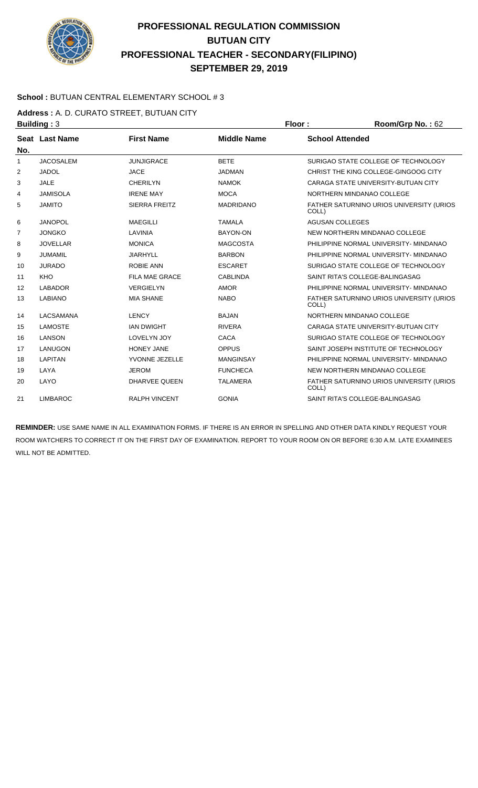

### **School :** BUTUAN CENTRAL ELEMENTARY SCHOOL # 3

**Address :** A. D. CURATO STREET, BUTUAN CITY

|     | <b>Building: 3</b> |                       | Floor:             | Room/Grp No.: 62                                  |
|-----|--------------------|-----------------------|--------------------|---------------------------------------------------|
|     | Seat Last Name     | <b>First Name</b>     | <b>Middle Name</b> | <b>School Attended</b>                            |
| No. |                    |                       |                    |                                                   |
| 1   | <b>JACOSALEM</b>   | <b>JUNJIGRACE</b>     | <b>BETE</b>        | SURIGAO STATE COLLEGE OF TECHNOLOGY               |
| 2   | <b>JADOL</b>       | <b>JACE</b>           | <b>JADMAN</b>      | CHRIST THE KING COLLEGE-GINGOOG CITY              |
| 3   | <b>JALE</b>        | <b>CHERILYN</b>       | <b>NAMOK</b>       | CARAGA STATE UNIVERSITY-BUTUAN CITY               |
| 4   | <b>JAMISOLA</b>    | <b>IRENE MAY</b>      | <b>MOCA</b>        | NORTHERN MINDANAO COLLEGE                         |
| 5   | <b>JAMITO</b>      | <b>SIERRA FREITZ</b>  | <b>MADRIDANO</b>   | FATHER SATURNINO URIOS UNIVERSITY (URIOS<br>COLL) |
| 6   | <b>JANOPOL</b>     | <b>MAEGILLI</b>       | <b>TAMALA</b>      | <b>AGUSAN COLLEGES</b>                            |
| 7   | <b>JONGKO</b>      | LAVINIA               | <b>BAYON-ON</b>    | NEW NORTHERN MINDANAO COLLEGE                     |
| 8   | <b>JOVELLAR</b>    | <b>MONICA</b>         | <b>MAGCOSTA</b>    | PHILIPPINE NORMAL UNIVERSITY- MINDANAO            |
| 9   | <b>JUMAMIL</b>     | <b>JIARHYLL</b>       | <b>BARBON</b>      | PHILIPPINE NORMAL UNIVERSITY- MINDANAO            |
| 10  | <b>JURADO</b>      | <b>ROBIE ANN</b>      | <b>ESCARET</b>     | SURIGAO STATE COLLEGE OF TECHNOLOGY               |
| 11  | <b>KHO</b>         | <b>FILA MAE GRACE</b> | <b>CABLINDA</b>    | SAINT RITA'S COLLEGE-BALINGASAG                   |
| 12  | <b>LABADOR</b>     | <b>VERGIELYN</b>      | <b>AMOR</b>        | PHILIPPINE NORMAL UNIVERSITY- MINDANAO            |
| 13  | <b>LABIANO</b>     | <b>MIA SHANE</b>      | <b>NABO</b>        | FATHER SATURNINO URIOS UNIVERSITY (URIOS<br>COLL) |
| 14  | <b>LACSAMANA</b>   | <b>LENCY</b>          | <b>BAJAN</b>       | NORTHERN MINDANAO COLLEGE                         |
| 15  | <b>LAMOSTE</b>     | <b>IAN DWIGHT</b>     | <b>RIVERA</b>      | CARAGA STATE UNIVERSITY-BUTUAN CITY               |
| 16  | <b>LANSON</b>      | <b>LOVELYN JOY</b>    | <b>CACA</b>        | SURIGAO STATE COLLEGE OF TECHNOLOGY               |
| 17  | <b>LANUGON</b>     | <b>HONEY JANE</b>     | <b>OPPUS</b>       | SAINT JOSEPH INSTITUTE OF TECHNOLOGY              |
| 18  | <b>LAPITAN</b>     | YVONNE JEZELLE        | <b>MANGINSAY</b>   | PHILIPPINE NORMAL UNIVERSITY- MINDANAO            |
| 19  | LAYA               | <b>JEROM</b>          | <b>FUNCHECA</b>    | NEW NORTHERN MINDANAO COLLEGE                     |
| 20  | LAYO               | DHARVEE QUEEN         | <b>TALAMERA</b>    | FATHER SATURNINO URIOS UNIVERSITY (URIOS<br>COLL) |
| 21  | <b>LIMBAROC</b>    | <b>RALPH VINCENT</b>  | <b>GONIA</b>       | SAINT RITA'S COLLEGE-BALINGASAG                   |
|     |                    |                       |                    |                                                   |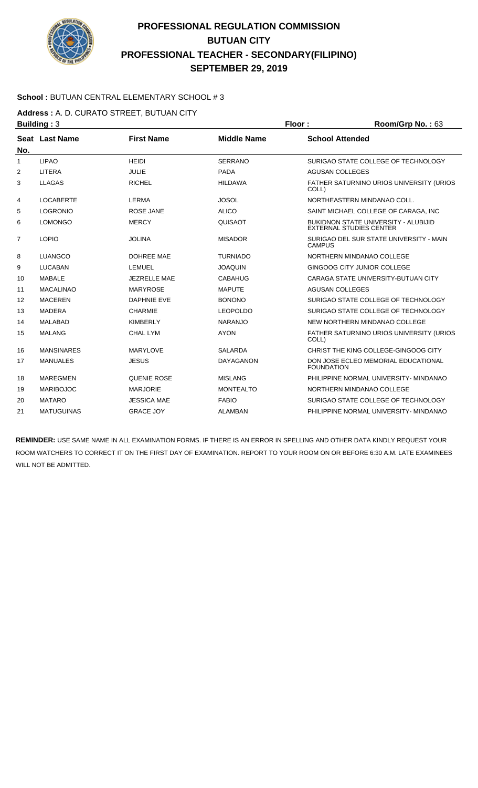

### **School :** BUTUAN CENTRAL ELEMENTARY SCHOOL # 3

**Address :** A. D. CURATO STREET, BUTUAN CITY

| <b>Building: 3</b> |                   |                     | Floor:             | Room/Grp No.: 63       |                                                                               |
|--------------------|-------------------|---------------------|--------------------|------------------------|-------------------------------------------------------------------------------|
|                    | Seat Last Name    | <b>First Name</b>   | <b>Middle Name</b> | <b>School Attended</b> |                                                                               |
| No.                |                   |                     |                    |                        |                                                                               |
| $\mathbf{1}$       | <b>LIPAO</b>      | <b>HFIDI</b>        | <b>SERRANO</b>     |                        | SURIGAO STATE COLLEGE OF TECHNOLOGY                                           |
| 2                  | <b>LITERA</b>     | <b>JULIE</b>        | <b>PADA</b>        | <b>AGUSAN COLLEGES</b> |                                                                               |
| 3                  | <b>LLAGAS</b>     | <b>RICHEL</b>       | <b>HILDAWA</b>     | COLL)                  | FATHER SATURNINO URIOS UNIVERSITY (URIOS                                      |
| 4                  | <b>LOCABERTE</b>  | <b>LERMA</b>        | <b>JOSOL</b>       |                        | NORTHEASTERN MINDANAO COLL.                                                   |
| 5                  | <b>LOGRONIO</b>   | <b>ROSE JANE</b>    | <b>ALICO</b>       |                        | SAINT MICHAEL COLLEGE OF CARAGA, INC                                          |
| 6                  | <b>LOMONGO</b>    | <b>MERCY</b>        | QUISAOT            |                        | <b>BUKIDNON STATE UNIVERSITY - ALUBIJID</b><br><b>EXTERNAL STUDIES CENTER</b> |
| $\overline{7}$     | <b>LOPIO</b>      | <b>JOLINA</b>       | <b>MISADOR</b>     | <b>CAMPUS</b>          | SURIGAO DEL SUR STATE UNIVERSITY - MAIN                                       |
| 8                  | <b>LUANGCO</b>    | <b>DOHREE MAE</b>   | <b>TURNIADO</b>    |                        | NORTHERN MINDANAO COLLEGE                                                     |
| 9                  | <b>LUCABAN</b>    | <b>LEMUEL</b>       | <b>JOAQUIN</b>     |                        | GINGOOG CITY JUNIOR COLLEGE                                                   |
| 10                 | <b>MABALE</b>     | <b>JEZRELLE MAE</b> | <b>CABAHUG</b>     |                        | CARAGA STATE UNIVERSITY-BUTUAN CITY                                           |
| 11                 | <b>MACALINAO</b>  | <b>MARYROSE</b>     | <b>MAPUTE</b>      | <b>AGUSAN COLLEGES</b> |                                                                               |
| 12                 | <b>MACEREN</b>    | <b>DAPHNIE EVE</b>  | <b>BONONO</b>      |                        | SURIGAO STATE COLLEGE OF TECHNOLOGY                                           |
| 13                 | <b>MADERA</b>     | <b>CHARMIE</b>      | <b>LEOPOLDO</b>    |                        | SURIGAO STATE COLLEGE OF TECHNOLOGY                                           |
| 14                 | <b>MALABAD</b>    | <b>KIMBERLY</b>     | <b>NARANJO</b>     |                        | NEW NORTHERN MINDANAO COLLEGE                                                 |
| 15                 | <b>MALANG</b>     | <b>CHAL LYM</b>     | <b>AYON</b>        | COLL)                  | FATHER SATURNINO URIOS UNIVERSITY (URIOS                                      |
| 16                 | <b>MANSINARES</b> | <b>MARYLOVE</b>     | <b>SALARDA</b>     |                        | CHRIST THE KING COLLEGE-GINGOOG CITY                                          |
| 17                 | <b>MANUALES</b>   | <b>JESUS</b>        | <b>DAYAGANON</b>   | <b>FOUNDATION</b>      | DON JOSE ECLEO MEMORIAL EDUCATIONAL                                           |
| 18                 | <b>MAREGMEN</b>   | QUENIE ROSE         | <b>MISLANG</b>     |                        | PHILIPPINE NORMAL UNIVERSITY- MINDANAO                                        |
| 19                 | <b>MARIBOJOC</b>  | <b>MARJORIE</b>     | <b>MONTEALTO</b>   |                        | NORTHERN MINDANAO COLLEGE                                                     |
| 20                 | <b>MATARO</b>     | <b>JESSICA MAE</b>  | <b>FABIO</b>       |                        | SURIGAO STATE COLLEGE OF TECHNOLOGY                                           |
| 21                 | <b>MATUGUINAS</b> | <b>GRACE JOY</b>    | <b>ALAMBAN</b>     |                        | PHILIPPINE NORMAL UNIVERSITY- MINDANAO                                        |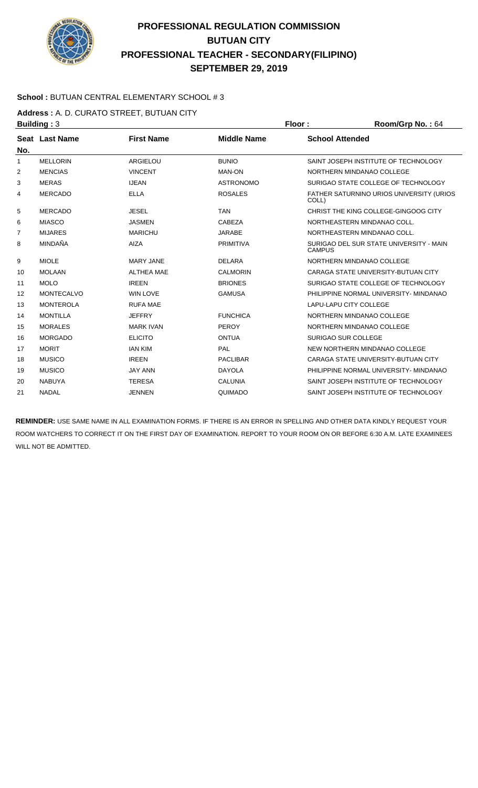

### **School :** BUTUAN CENTRAL ELEMENTARY SCHOOL # 3

**Address :** A. D. CURATO STREET, BUTUAN CITY

| <b>Building: 3</b> |                   |                   | Floor:             | Room/Grp No.: 64       |                                          |
|--------------------|-------------------|-------------------|--------------------|------------------------|------------------------------------------|
| No.                | Seat Last Name    | <b>First Name</b> | <b>Middle Name</b> | <b>School Attended</b> |                                          |
| $\mathbf{1}$       | <b>MELLORIN</b>   | ARGIELOU          | <b>BUNIO</b>       |                        | SAINT JOSEPH INSTITUTE OF TECHNOLOGY     |
| 2                  | <b>MENCIAS</b>    | <b>VINCENT</b>    | <b>MAN-ON</b>      |                        | NORTHERN MINDANAO COLLEGE                |
| 3                  | <b>MERAS</b>      | <b>IJEAN</b>      | <b>ASTRONOMO</b>   |                        | SURIGAO STATE COLLEGE OF TECHNOLOGY      |
| 4                  | <b>MERCADO</b>    | <b>ELLA</b>       | <b>ROSALES</b>     | COLL)                  | FATHER SATURNINO URIOS UNIVERSITY (URIOS |
| 5                  | <b>MERCADO</b>    | <b>JESEL</b>      | <b>TAN</b>         |                        | CHRIST THE KING COLLEGE-GINGOOG CITY     |
| 6                  | <b>MIASCO</b>     | <b>JASMEN</b>     | CABEZA             |                        | NORTHEASTERN MINDANAO COLL.              |
| 7                  | <b>MIJARES</b>    | <b>MARICHU</b>    | <b>JARABE</b>      |                        | NORTHEASTERN MINDANAO COLL.              |
| 8                  | MINDAÑA           | <b>AIZA</b>       | PRIMITIVA          | <b>CAMPUS</b>          | SURIGAO DEL SUR STATE UNIVERSITY - MAIN  |
| 9                  | <b>MIOLE</b>      | <b>MARY JANE</b>  | <b>DELARA</b>      |                        | NORTHERN MINDANAO COLLEGE                |
| 10                 | <b>MOLAAN</b>     | <b>ALTHEA MAE</b> | <b>CALMORIN</b>    |                        | CARAGA STATE UNIVERSITY-BUTUAN CITY      |
| 11                 | <b>MOLO</b>       | <b>IREEN</b>      | <b>BRIONES</b>     |                        | SURIGAO STATE COLLEGE OF TECHNOLOGY      |
| 12                 | <b>MONTECALVO</b> | <b>WIN LOVE</b>   | <b>GAMUSA</b>      |                        | PHILIPPINE NORMAL UNIVERSITY- MINDANAO   |
| 13                 | <b>MONTEROLA</b>  | <b>RUFA MAE</b>   |                    |                        | LAPU-LAPU CITY COLLEGE                   |
| 14                 | <b>MONTILLA</b>   | <b>JEFFRY</b>     | <b>FUNCHICA</b>    |                        | NORTHERN MINDANAO COLLEGE                |
| 15                 | <b>MORALES</b>    | <b>MARK IVAN</b>  | PEROY              |                        | NORTHERN MINDANAO COLLEGE                |
| 16                 | <b>MORGADO</b>    | <b>ELICITO</b>    | <b>ONTUA</b>       |                        | <b>SURIGAO SUR COLLEGE</b>               |
| 17                 | <b>MORIT</b>      | <b>JAN KIM</b>    | PAL                |                        | NEW NORTHERN MINDANAO COLLEGE            |
| 18                 | <b>MUSICO</b>     | <b>IREEN</b>      | <b>PACLIBAR</b>    |                        | CARAGA STATE UNIVERSITY-BUTUAN CITY      |
| 19                 | <b>MUSICO</b>     | <b>JAY ANN</b>    | <b>DAYOLA</b>      |                        | PHILIPPINE NORMAL UNIVERSITY- MINDANAO   |
| 20                 | <b>NABUYA</b>     | <b>TERESA</b>     | <b>CALUNIA</b>     |                        | SAINT JOSEPH INSTITUTE OF TECHNOLOGY     |
| 21                 | <b>NADAL</b>      | <b>JENNEN</b>     | QUIMADO            |                        | SAINT JOSEPH INSTITUTE OF TECHNOLOGY     |
|                    |                   |                   |                    |                        |                                          |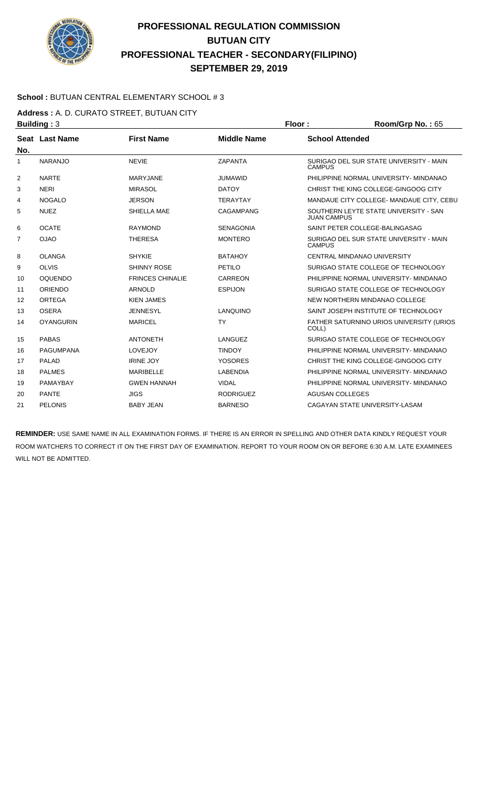

### **School :** BUTUAN CENTRAL ELEMENTARY SCHOOL # 3

**Address :** A. D. CURATO STREET, BUTUAN CITY

| Building: $3$    |                         |                    | Floor:             | Room/Grp No.: 65                         |
|------------------|-------------------------|--------------------|--------------------|------------------------------------------|
| Seat Last Name   | <b>First Name</b>       | <b>Middle Name</b> |                    | <b>School Attended</b>                   |
|                  |                         |                    |                    |                                          |
| <b>NARANJO</b>   | <b>NEVIE</b>            | <b>ZAPANTA</b>     | <b>CAMPUS</b>      | SURIGAO DEL SUR STATE UNIVERSITY - MAIN  |
| <b>NARTE</b>     | MARYJANE                | <b>JUMAWID</b>     |                    | PHILIPPINE NORMAL UNIVERSITY- MINDANAO   |
| <b>NERI</b>      | <b>MIRASOL</b>          | <b>DATOY</b>       |                    | CHRIST THE KING COLLEGE-GINGOOG CITY     |
| <b>NOGALO</b>    | <b>JERSON</b>           | <b>TERAYTAY</b>    |                    | MANDAUE CITY COLLEGE- MANDAUE CITY, CEBU |
| <b>NUEZ</b>      | SHIELLA MAE             | <b>CAGAMPANG</b>   | <b>JUAN CAMPUS</b> | SOUTHERN LEYTE STATE UNIVERSITY - SAN    |
| <b>OCATE</b>     | <b>RAYMOND</b>          | <b>SENAGONIA</b>   |                    | SAINT PETER COLLEGE-BALINGASAG           |
| <b>OJAO</b>      | <b>THERESA</b>          | <b>MONTERO</b>     | <b>CAMPUS</b>      | SURIGAO DEL SUR STATE UNIVERSITY - MAIN  |
| <b>OLANGA</b>    | <b>SHYKIE</b>           | <b>BATAHOY</b>     |                    | CENTRAL MINDANAO UNIVERSITY              |
| <b>OLVIS</b>     | <b>SHINNY ROSE</b>      | PETILO             |                    | SURIGAO STATE COLLEGE OF TECHNOLOGY      |
| <b>OQUENDO</b>   | <b>FRINCES CHINALIE</b> | CARREON            |                    | PHILIPPINE NORMAL UNIVERSITY- MINDANAO   |
| <b>ORIENDO</b>   | <b>ARNOLD</b>           | <b>ESPIJON</b>     |                    | SURIGAO STATE COLLEGE OF TECHNOLOGY      |
| ORTEGA           | <b>KIEN JAMES</b>       |                    |                    | NEW NORTHERN MINDANAO COLLEGE            |
| <b>OSERA</b>     | <b>JENNESYL</b>         | LANQUINO           |                    | SAINT JOSEPH INSTITUTE OF TECHNOLOGY     |
| <b>OYANGURIN</b> | <b>MARICEL</b>          | <b>TY</b>          | COLL)              | FATHER SATURNINO URIOS UNIVERSITY (URIOS |
| <b>PABAS</b>     | <b>ANTONETH</b>         | LANGUEZ            |                    | SURIGAO STATE COLLEGE OF TECHNOLOGY      |
| <b>PAGUMPANA</b> | LOVEJOY                 | <b>TINDOY</b>      |                    | PHILIPPINE NORMAL UNIVERSITY- MINDANAO   |
| <b>PALAD</b>     | <b>IRINE JOY</b>        | <b>YOSORES</b>     |                    | CHRIST THE KING COLLEGE-GINGOOG CITY     |
| <b>PALMES</b>    | <b>MARIBELLE</b>        | <b>LABENDIA</b>    |                    | PHILIPPINE NORMAL UNIVERSITY- MINDANAO   |
| PAMAYBAY         | <b>GWEN HANNAH</b>      | <b>VIDAL</b>       |                    | PHILIPPINE NORMAL UNIVERSITY- MINDANAO   |
| <b>PANTE</b>     | <b>JIGS</b>             | <b>RODRIGUEZ</b>   |                    | <b>AGUSAN COLLEGES</b>                   |
| <b>PELONIS</b>   | <b>BABY JEAN</b>        | <b>BARNESO</b>     |                    | CAGAYAN STATE UNIVERSITY-LASAM           |
|                  |                         |                    |                    |                                          |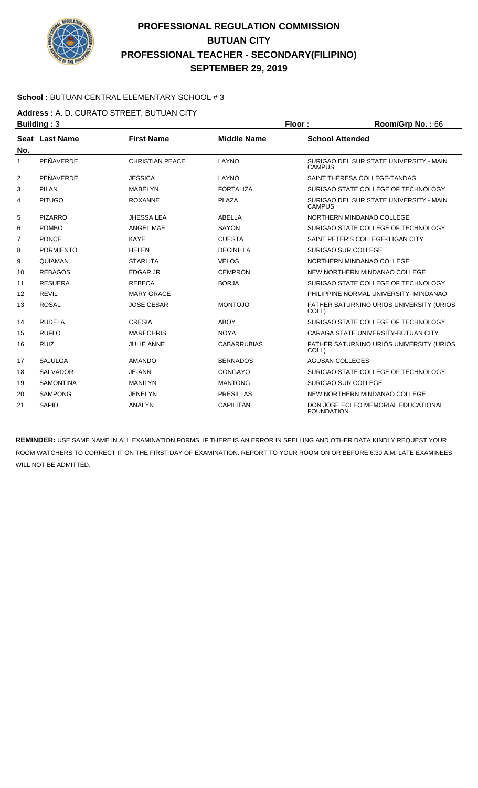

### **School :** BUTUAN CENTRAL ELEMENTARY SCHOOL # 3

**Address :** A. D. CURATO STREET, BUTUAN CITY

|                   | <b>Building: 3</b> |                        |                    | Floor:                 | Room/Grp No.: 66                                 |
|-------------------|--------------------|------------------------|--------------------|------------------------|--------------------------------------------------|
|                   | Seat Last Name     | <b>First Name</b>      | <b>Middle Name</b> | <b>School Attended</b> |                                                  |
| No.               |                    |                        |                    |                        |                                                  |
| $\mathbf{1}$      | PEÑAVERDE          | <b>CHRISTIAN PEACE</b> | LAYNO              | <b>CAMPUS</b>          | SURIGAO DEL SUR STATE UNIVERSITY - MAIN          |
| 2                 | PEÑAVERDE          | <b>JESSICA</b>         | LAYNO              |                        | SAINT THERESA COLLEGE-TANDAG                     |
| 3                 | <b>PILAN</b>       | <b>MABELYN</b>         | <b>FORTALIZA</b>   |                        | SURIGAO STATE COLLEGE OF TECHNOLOGY              |
| 4                 | <b>PITUGO</b>      | <b>ROXANNE</b>         | <b>PLAZA</b>       | CAMPUS                 | SURIGAO DEL SUR STATE UNIVERSITY - MAIN          |
| 5                 | <b>PIZARRO</b>     | <b>JHESSALEA</b>       | ABELLA             |                        | NORTHERN MINDANAO COLLEGE                        |
| 6                 | <b>POMBO</b>       | ANGEL MAE              | SAYON              |                        | SURIGAO STATE COLLEGE OF TECHNOLOGY              |
| $\overline{7}$    | <b>PONCE</b>       | <b>KAYE</b>            | <b>CUESTA</b>      |                        | SAINT PETER'S COLLEGE-ILIGAN CITY                |
| 8                 | <b>PORMIENTO</b>   | <b>HELEN</b>           | <b>DECINILLA</b>   |                        | <b>SURIGAO SUR COLLEGE</b>                       |
| 9                 | QUIAMAN            | <b>STARLITA</b>        | <b>VELOS</b>       |                        | NORTHERN MINDANAO COLLEGE                        |
| 10                | <b>REBAGOS</b>     | <b>EDGAR JR</b>        | <b>CEMPRON</b>     |                        | NEW NORTHERN MINDANAO COLLEGE                    |
| 11                | <b>RESUERA</b>     | <b>REBECA</b>          | <b>BORJA</b>       |                        | SURIGAO STATE COLLEGE OF TECHNOLOGY              |
| $12 \overline{ }$ | <b>REVIL</b>       | <b>MARY GRACE</b>      |                    |                        | PHILIPPINE NORMAL UNIVERSITY- MINDANAO           |
| 13                | <b>ROSAL</b>       | <b>JOSE CESAR</b>      | <b>MONTOJO</b>     | COLL)                  | FATHER SATURNINO URIOS UNIVERSITY (URIOS         |
| 14                | <b>RUDELA</b>      | <b>CRESIA</b>          | <b>ABOY</b>        |                        | SURIGAO STATE COLLEGE OF TECHNOLOGY              |
| 15                | <b>RUFLO</b>       | <b>MARECHRIS</b>       | <b>NOYA</b>        |                        | CARAGA STATE UNIVERSITY-BUTUAN CITY              |
| 16                | <b>RUIZ</b>        | <b>JULIE ANNE</b>      | <b>CABARRUBIAS</b> | COLL)                  | <b>FATHER SATURNINO URIOS UNIVERSITY (URIOS)</b> |
| 17                | <b>SAJULGA</b>     | <b>AMANDO</b>          | <b>BERNADOS</b>    | <b>AGUSAN COLLEGES</b> |                                                  |
| 18                | <b>SALVADOR</b>    | JE-ANN                 | CONGAYO            |                        | SURIGAO STATE COLLEGE OF TECHNOLOGY              |
| 19                | <b>SAMONTINA</b>   | <b>MANILYN</b>         | <b>MANTONG</b>     |                        | <b>SURIGAO SUR COLLEGE</b>                       |
| 20                | <b>SAMPONG</b>     | <b>JENELYN</b>         | <b>PRESILLAS</b>   |                        | NEW NORTHERN MINDANAO COLLEGE                    |
| 21                | <b>SAPID</b>       | <b>ANALYN</b>          | <b>CAPILITAN</b>   | <b>FOUNDATION</b>      | DON JOSE ECLEO MEMORIAL EDUCATIONAL              |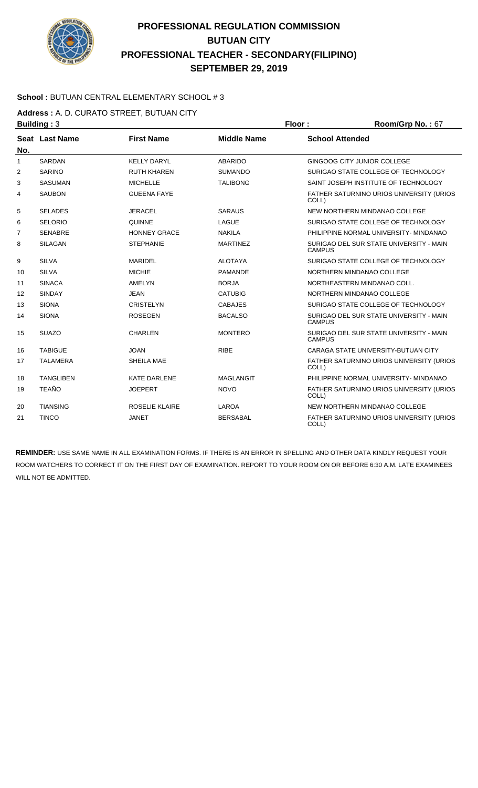

### **School :** BUTUAN CENTRAL ELEMENTARY SCHOOL # 3

Address : A. D. CURATO STREET, BUTUAN CITY<br>Building : 3

|                | <b>Building: 3</b> |                       |                    | Floor:                 | Room/Grp No.: 67                         |
|----------------|--------------------|-----------------------|--------------------|------------------------|------------------------------------------|
|                | Seat Last Name     | <b>First Name</b>     | <b>Middle Name</b> | <b>School Attended</b> |                                          |
| No.            |                    |                       |                    |                        |                                          |
| $\mathbf{1}$   | <b>SARDAN</b>      | <b>KELLY DARYL</b>    | <b>ABARIDO</b>     |                        | GINGOOG CITY JUNIOR COLLEGE              |
| 2              | <b>SARINO</b>      | <b>RUTH KHAREN</b>    | <b>SUMANDO</b>     |                        | SURIGAO STATE COLLEGE OF TECHNOLOGY      |
| 3              | <b>SASUMAN</b>     | <b>MICHELLE</b>       | <b>TALIBONG</b>    |                        | SAINT JOSEPH INSTITUTE OF TECHNOLOGY     |
| 4              | <b>SAUBON</b>      | <b>GUEENA FAYE</b>    |                    | COLL)                  | FATHER SATURNINO URIOS UNIVERSITY (URIOS |
| 5              | <b>SELADES</b>     | <b>JERACEL</b>        | <b>SARAUS</b>      |                        | NEW NORTHERN MINDANAO COLLEGE            |
| 6              | <b>SELORIO</b>     | <b>QUINNE</b>         | LAGUE              |                        | SURIGAO STATE COLLEGE OF TECHNOLOGY      |
| $\overline{7}$ | <b>SENABRE</b>     | <b>HONNEY GRACE</b>   | <b>NAKILA</b>      |                        | PHILIPPINE NORMAL UNIVERSITY- MINDANAO   |
| 8              | <b>SILAGAN</b>     | <b>STEPHANIE</b>      | <b>MARTINEZ</b>    | CAMPUS                 | SURIGAO DEL SUR STATE UNIVERSITY - MAIN  |
| 9              | <b>SILVA</b>       | <b>MARIDEL</b>        | <b>ALOTAYA</b>     |                        | SURIGAO STATE COLLEGE OF TECHNOLOGY      |
| 10             | <b>SILVA</b>       | <b>MICHIE</b>         | <b>PAMANDE</b>     |                        | NORTHERN MINDANAO COLLEGE                |
| 11             | <b>SINACA</b>      | AMELYN                | <b>BORJA</b>       |                        | NORTHEASTERN MINDANAO COLL.              |
| 12             | <b>SINDAY</b>      | <b>JEAN</b>           | <b>CATUBIG</b>     |                        | NORTHERN MINDANAO COLLEGE                |
| 13             | <b>SIONA</b>       | <b>CRISTELYN</b>      | <b>CABAJES</b>     |                        | SURIGAO STATE COLLEGE OF TECHNOLOGY      |
| 14             | <b>SIONA</b>       | <b>ROSEGEN</b>        | <b>BACALSO</b>     | <b>CAMPUS</b>          | SURIGAO DEL SUR STATE UNIVERSITY - MAIN  |
| 15             | <b>SUAZO</b>       | <b>CHARLEN</b>        | <b>MONTERO</b>     | <b>CAMPUS</b>          | SURIGAO DEL SUR STATE UNIVERSITY - MAIN  |
| 16             | <b>TABIGUE</b>     | <b>JOAN</b>           | <b>RIBE</b>        |                        | CARAGA STATE UNIVERSITY-BUTUAN CITY      |
| 17             | <b>TALAMERA</b>    | SHEILA MAE            |                    | COLL)                  | FATHER SATURNINO URIOS UNIVERSITY (URIOS |
| 18             | <b>TANGLIBEN</b>   | <b>KATE DARLENE</b>   | <b>MAGLANGIT</b>   |                        | PHILIPPINE NORMAL UNIVERSITY- MINDANAO   |
| 19             | <b>TEAÑO</b>       | <b>JOEPERT</b>        | <b>NOVO</b>        | COLL)                  | FATHER SATURNINO URIOS UNIVERSITY (URIOS |
| 20             | <b>TIANSING</b>    | <b>ROSELIE KLAIRE</b> | <b>LAROA</b>       |                        | NEW NORTHERN MINDANAO COLLEGE            |
| 21             | <b>TINCO</b>       | <b>JANET</b>          | <b>BERSABAL</b>    | COLL)                  | FATHER SATURNINO URIOS UNIVERSITY (URIOS |